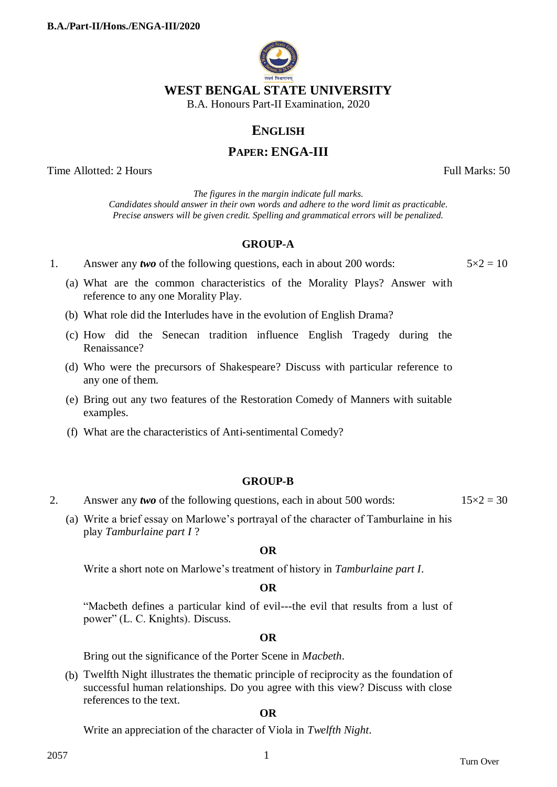

# **ENGLISH**

# **PAPER: ENGA-III**

Time Allotted: 2 Hours Full Marks: 50

*The figures in the margin indicate full marks. Candidates should answer in their own words and adhere to the word limit as practicable. Precise answers will be given credit. Spelling and grammatical errors will be penalized.*

# **GROUP-A**

1. Answer any *two* of the following questions, each in about 200 words:  $5 \times 2 = 10$ 

- (a) What are the common characteristics of the Morality Plays? Answer with reference to any one Morality Play.
- (b) What role did the Interludes have in the evolution of English Drama?
- (c) How did the Senecan tradition influence English Tragedy during the Renaissance?
- (d) Who were the precursors of Shakespeare? Discuss with particular reference to any one of them.
- (e) Bring out any two features of the Restoration Comedy of Manners with suitable examples.
- (f) What are the characteristics of Anti-sentimental Comedy?

# **GROUP-B**

- 2. Answer any *two* of the following questions, each in about 500 words:  $15 \times 2 = 30$ 
	- (a) Write a brief essay on Marlowe"s portrayal of the character of Tamburlaine in his play *Tamburlaine part I* ?

## **OR**

Write a short note on Marlowe"s treatment of history in *Tamburlaine part I*.

# **OR**

"Macbeth defines a particular kind of evil---the evil that results from a lust of power" (L. C. Knights). Discuss.

## **OR**

Bring out the significance of the Porter Scene in *Macbeth*.

(b) Twelfth Night illustrates the thematic principle of reciprocity as the foundation of successful human relationships. Do you agree with this view? Discuss with close references to the text.

#### **OR**

Write an appreciation of the character of Viola in *Twelfth Night*.